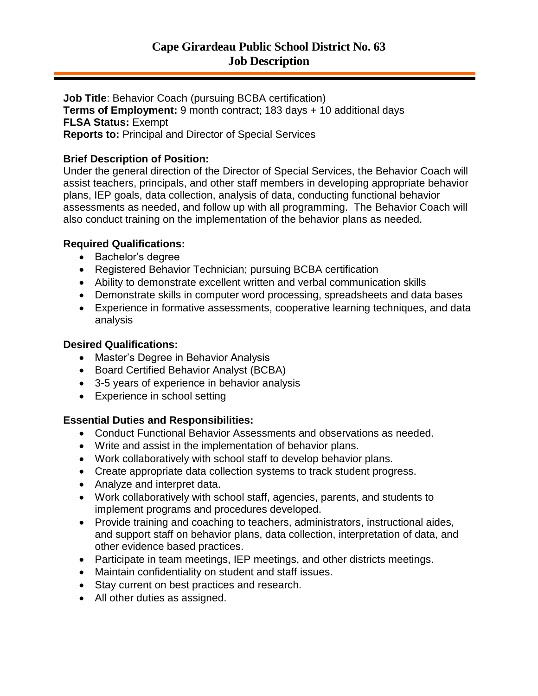**Job Title: Behavior Coach (pursuing BCBA certification) Terms of Employment:** 9 month contract; 183 days + 10 additional days **FLSA Status:** Exempt **Reports to:** Principal and Director of Special Services

### **Brief Description of Position:**

Under the general direction of the Director of Special Services, the Behavior Coach will assist teachers, principals, and other staff members in developing appropriate behavior plans, IEP goals, data collection, analysis of data, conducting functional behavior assessments as needed, and follow up with all programming. The Behavior Coach will also conduct training on the implementation of the behavior plans as needed.

#### **Required Qualifications:**

- Bachelor's degree
- Registered Behavior Technician; pursuing BCBA certification
- Ability to demonstrate excellent written and verbal communication skills
- Demonstrate skills in computer word processing, spreadsheets and data bases
- Experience in formative assessments, cooperative learning techniques, and data analysis

## **Desired Qualifications:**

- Master's Degree in Behavior Analysis
- Board Certified Behavior Analyst (BCBA)
- 3-5 years of experience in behavior analysis
- Experience in school setting

# **Essential Duties and Responsibilities:**

- Conduct Functional Behavior Assessments and observations as needed.
- Write and assist in the implementation of behavior plans.
- Work collaboratively with school staff to develop behavior plans.
- Create appropriate data collection systems to track student progress.
- Analyze and interpret data.
- Work collaboratively with school staff, agencies, parents, and students to implement programs and procedures developed.
- Provide training and coaching to teachers, administrators, instructional aides, and support staff on behavior plans, data collection, interpretation of data, and other evidence based practices.
- Participate in team meetings, IEP meetings, and other districts meetings.
- Maintain confidentiality on student and staff issues.
- Stay current on best practices and research.
- All other duties as assigned.